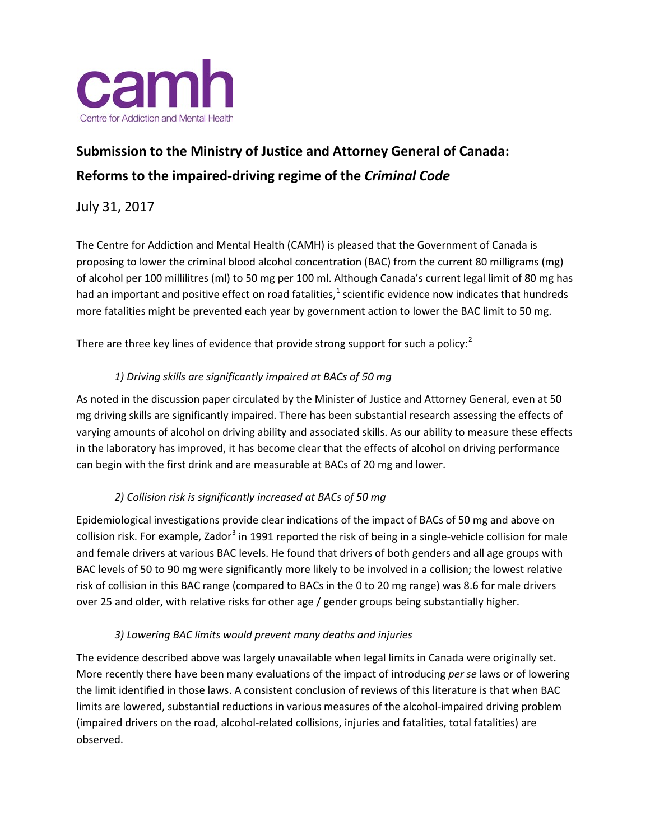

## **Submission to the Ministry of Justice and Attorney General of Canada: Reforms to the impaired-driving regime of the** *Criminal Code*

July 31, 2017

The Centre for Addiction and Mental Health (CAMH) is pleased that the Government of Canada is proposing to lower the criminal blood alcohol concentration (BAC) from the current 80 milligrams (mg) of alcohol per 100 millilitres (ml) to 50 mg per 100 ml. Although Canada's current legal limit of 80 mg has had an important and positive effect on road fatalities,<sup>[1](#page-2-0)</sup> scientific evidence now indicates that hundreds more fatalities might be prevented each year by government action to lower the BAC limit to 50 mg.

There are three key lines of evidence that provide strong support for such a policy:<sup>[2](#page-2-1)</sup>

## *1) Driving skills are significantly impaired at BACs of 50 mg*

As noted in the discussion paper circulated by the Minister of Justice and Attorney General, even at 50 mg driving skills are significantly impaired. There has been substantial research assessing the effects of varying amounts of alcohol on driving ability and associated skills. As our ability to measure these effects in the laboratory has improved, it has become clear that the effects of alcohol on driving performance can begin with the first drink and are measurable at BACs of 20 mg and lower.

## *2) Collision risk is significantly increased at BACs of 50 mg*

Epidemiological investigations provide clear indications of the impact of BACs of 50 mg and above on collision risk. For example, Zador<sup>[3](#page-2-2)</sup> in 1991 reported the risk of being in a single-vehicle collision for male and female drivers at various BAC levels. He found that drivers of both genders and all age groups with BAC levels of 50 to 90 mg were significantly more likely to be involved in a collision; the lowest relative risk of collision in this BAC range (compared to BACs in the 0 to 20 mg range) was 8.6 for male drivers over 25 and older, with relative risks for other age / gender groups being substantially higher.

## *3) Lowering BAC limits would prevent many deaths and injuries*

The evidence described above was largely unavailable when legal limits in Canada were originally set. More recently there have been many evaluations of the impact of introducing *per se* laws or of lowering the limit identified in those laws. A consistent conclusion of reviews of this literature is that when BAC limits are lowered, substantial reductions in various measures of the alcohol-impaired driving problem (impaired drivers on the road, alcohol-related collisions, injuries and fatalities, total fatalities) are observed.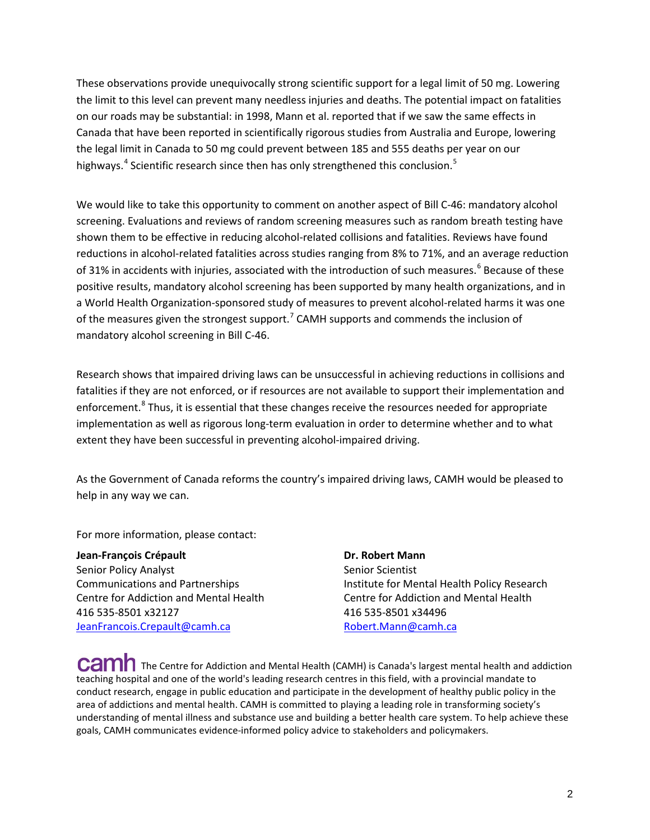These observations provide unequivocally strong scientific support for a legal limit of 50 mg. Lowering the limit to this level can prevent many needless injuries and deaths. The potential impact on fatalities on our roads may be substantial: in 1998, Mann et al. reported that if we saw the same effects in Canada that have been reported in scientifically rigorous studies from Australia and Europe, lowering the legal limit in Canada to 50 mg could prevent between 185 and 555 deaths per year on our highways.<sup>[4](#page-2-3)</sup> Scientific research since then has only strengthened this conclusion.<sup>[5](#page-2-4)</sup>

We would like to take this opportunity to comment on another aspect of Bill C-46: mandatory alcohol screening. Evaluations and reviews of random screening measures such as random breath testing have shown them to be effective in reducing alcohol-related collisions and fatalities. Reviews have found reductions in alcohol-related fatalities across studies ranging from 8% to 71%, and an average reduction of 31% in accidents with injuries, associated with the introduction of such measures.<sup>[6](#page-2-5)</sup> Because of these positive results, mandatory alcohol screening has been supported by many health organizations, and in a World Health Organization-sponsored study of measures to prevent alcohol-related harms it was one of the measures given the strongest support.<sup>[7](#page-2-6)</sup> CAMH supports and commends the inclusion of mandatory alcohol screening in Bill C-46.

Research shows that impaired driving laws can be unsuccessful in achieving reductions in collisions and fatalities if they are not enforced, or if resources are not available to support their implementation and enforcement.<sup>[8](#page-2-7)</sup> Thus, it is essential that these changes receive the resources needed for appropriate implementation as well as rigorous long-term evaluation in order to determine whether and to what extent they have been successful in preventing alcohol-impaired driving.

As the Government of Canada reforms the country's impaired driving laws, CAMH would be pleased to help in any way we can.

For more information, please contact:

**Jean-François Crépault Dr. Robert Mann** Senior Policy Analyst Senior Scientist 416 535-8501 x32127 416 535-8501 x34496 [JeanFrancois.Crepault@camh.ca](mailto:JeanFrancois.Crepault@camh.ca) [Robert.Mann@camh.ca](mailto:Robert.Mann@camh.ca)

Communications and Partnerships Institute for Mental Health Policy Research Centre for Addiction and Mental Health Centre for Addiction and Mental Health

CaM The Centre for Addiction and Mental Health (CAMH) is Canada's largest mental health and addiction teaching hospital and one of the world's leading research centres in this field, with a provincial mandate to conduct research, engage in public education and participate in the development of healthy public policy in the area of addictions and mental health. CAMH is committed to playing a leading role in transforming society's understanding of mental illness and substance use and building a better health care system. To help achieve these goals, CAMH communicates evidence-informed policy advice to stakeholders and policymakers.